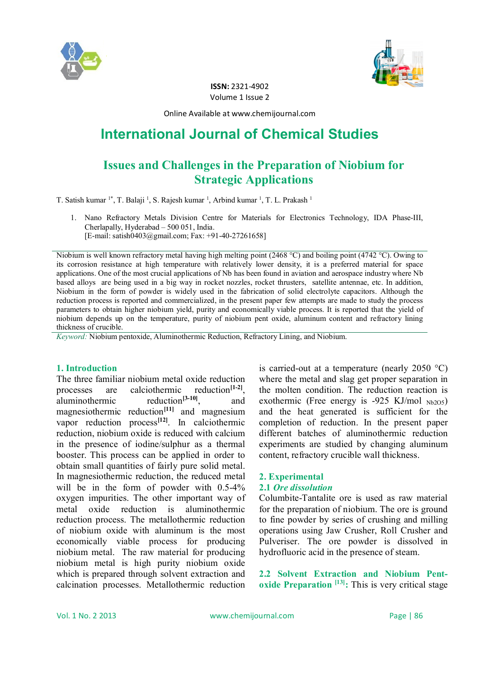



**ISSN:** 2321-4902 Volume 1 Issue 2

Online Available at www.chemijournal.com

# **International Journal of Chemical Studies**

## **Issues and Challenges in the Preparation of Niobium for Strategic Applications**

T. Satish kumar <sup>1\*</sup>, T. Balaji <sup>1</sup>, S. Rajesh kumar <sup>1</sup>, Arbind kumar <sup>1</sup>, T. L. Prakash <sup>1</sup>

1. Nano Refractory Metals Division Centre for Materials for Electronics Technology, IDA Phase-III, Cherlapally, Hyderabad – 500 051, India. [E-mail: satish0403@gmail.com; Fax: +91-40-27261658]

Niobium is well known refractory metal having high melting point (2468 °C) and boiling point (4742 °C). Owing to its corrosion resistance at high temperature with relatively lower density, it is a preferred material for space applications. One of the most crucial applications of Nb has been found in aviation and aerospace industry where Nb based alloys are being used in a big way in rocket nozzles, rocket thrusters, satellite antennae, etc. In addition, Niobium in the form of powder is widely used in the fabrication of solid electrolyte capacitors. Although the reduction process is reported and commercialized, in the present paper few attempts are made to study the process parameters to obtain higher niobium yield, purity and economically viable process. It is reported that the yield of niobium depends up on the temperature, purity of niobium pent oxide, aluminum content and refractory lining thickness of crucible.

*Keyword:* Niobium pentoxide, Aluminothermic Reduction, Refractory Lining, and Niobium.

#### **1. Introduction**

The three familiar niobium metal oxide reduction processes are calciothermic reduction<sup>[1-2]</sup>, aluminothermic reduction**[3-10]**, and magnesiothermic reduction<sup>[11]</sup> and magnesium vapor reduction process**[12]**. In calciothermic reduction, niobium oxide is reduced with calcium in the presence of iodine/sulphur as a thermal booster. This process can be applied in order to obtain small quantities of fairly pure solid metal. In magnesiothermic reduction, the reduced metal will be in the form of powder with  $0.5-4\%$ oxygen impurities. The other important way of metal oxide reduction is aluminothermic reduction process. The metallothermic reduction of niobium oxide with aluminum is the most economically viable process for producing niobium metal. The raw material for producing niobium metal is high purity niobium oxide which is prepared through solvent extraction and calcination processes. Metallothermic reduction

is carried-out at a temperature (nearly 2050  $^{\circ}$ C) where the metal and slag get proper separation in the molten condition. The reduction reaction is exothermic (Free energy is  $-925$  KJ/mol  $_{Nb205}$ ) and the heat generated is sufficient for the completion of reduction. In the present paper different batches of aluminothermic reduction experiments are studied by changing aluminum content, refractory crucible wall thickness.

### **2. Experimental**

#### **2.1** *Ore dissolution*

Columbite-Tantalite ore is used as raw material for the preparation of niobium. The ore is ground to fine powder by series of crushing and milling operations using Jaw Crusher, Roll Crusher and Pulveriser. The ore powder is dissolved in hydrofluoric acid in the presence of steam.

**2.2 Solvent Extraction and Niobium Pentoxide Preparation [13]:** This is very critical stage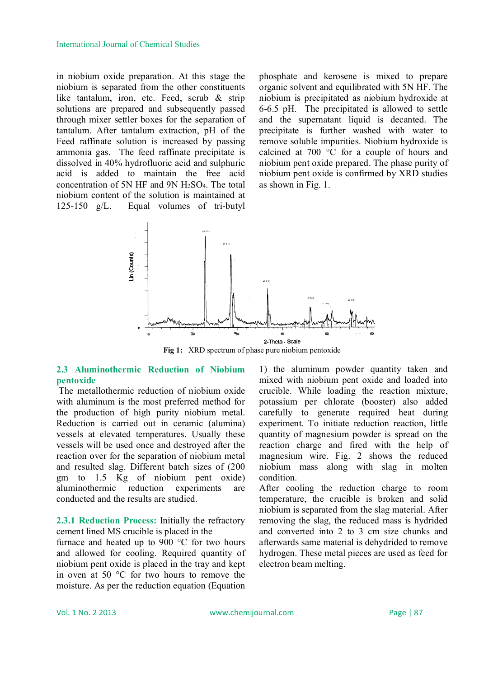#### International Journal of Chemical Studies

in niobium oxide preparation. At this stage the niobium is separated from the other constituents like tantalum, iron, etc. Feed, scrub & strip solutions are prepared and subsequently passed through mixer settler boxes for the separation of tantalum. After tantalum extraction, pH of the Feed raffinate solution is increased by passing ammonia gas. The feed raffinate precipitate is dissolved in 40% hydrofluoric acid and sulphuric acid is added to maintain the free acid concentration of 5N HF and 9N H2SO4. The total niobium content of the solution is maintained at 125-150 g/L. Equal volumes of tri-butyl

phosphate and kerosene is mixed to prepare organic solvent and equilibrated with 5N HF. The niobium is precipitated as niobium hydroxide at 6-6.5 pH. The precipitated is allowed to settle and the supernatant liquid is decanted. The precipitate is further washed with water to remove soluble impurities. Niobium hydroxide is calcined at 700 °C for a couple of hours and niobium pent oxide prepared. The phase purity of niobium pent oxide is confirmed by XRD studies as shown in Fig. 1.



Fig 1: XRD spectrum of phase pure niobium pentoxide

#### **2.3 Aluminothermic Reduction of Niobium pentoxide**

The metallothermic reduction of niobium oxide with aluminum is the most preferred method for the production of high purity niobium metal. Reduction is carried out in ceramic (alumina) vessels at elevated temperatures. Usually these vessels will be used once and destroyed after the reaction over for the separation of niobium metal and resulted slag. Different batch sizes of (200 gm to 1.5 Kg of niobium pent oxide) aluminothermic reduction experiments are conducted and the results are studied.

**2.3.1 Reduction Process:** Initially the refractory cement lined MS crucible is placed in the

furnace and heated up to 900 °C for two hours and allowed for cooling. Required quantity of niobium pent oxide is placed in the tray and kept in oven at 50 °C for two hours to remove the moisture. As per the reduction equation (Equation

1) the aluminum powder quantity taken and mixed with niobium pent oxide and loaded into crucible. While loading the reaction mixture, potassium per chlorate (booster) also added carefully to generate required heat during experiment. To initiate reduction reaction, little quantity of magnesium powder is spread on the reaction charge and fired with the help of magnesium wire. Fig. 2 shows the reduced niobium mass along with slag in molten condition.

After cooling the reduction charge to room temperature, the crucible is broken and solid niobium is separated from the slag material. After removing the slag, the reduced mass is hydrided and converted into 2 to 3 cm size chunks and afterwards same material is dehydrided to remove hydrogen. These metal pieces are used as feed for electron beam melting.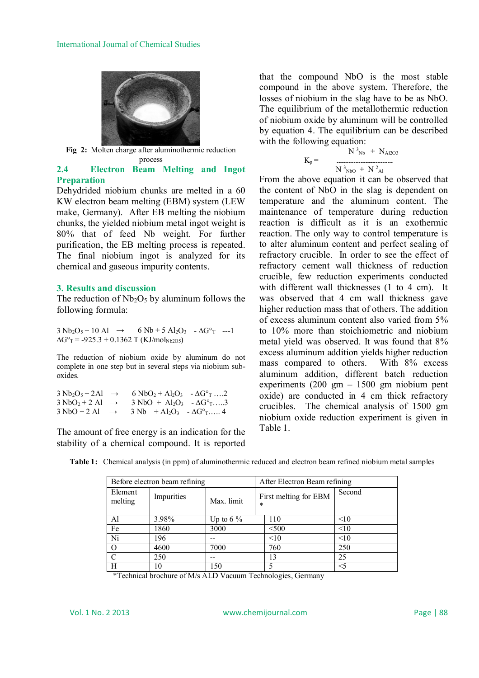

**Fig 2:** Molten charge after aluminothermic reduction process

#### **2.4 Electron Beam Melting and Ingot Preparation**

Dehydrided niobium chunks are melted in a 60 KW electron beam melting (EBM) system (LEW make, Germany). After EB melting the niobium chunks, the yielded niobium metal ingot weight is 80% that of feed Nb weight. For further purification, the EB melting process is repeated. The final niobium ingot is analyzed for its chemical and gaseous impurity contents.

#### **3. Results and discussion**

The reduction of  $Nb<sub>2</sub>O<sub>5</sub>$  by aluminum follows the following formula:

 $3 Nb_2O_5 + 10 A1 \rightarrow 6 Nb + 5 Al_2O_3 - \Delta G^{\circ}$  ---1  $\Delta G^{\circ}$ <sub>T</sub> = -925.3 + 0.1362 T (KJ/mol<sub>Nb2O5</sub>)

The reduction of niobium oxide by aluminum do not complete in one step but in several steps via niobium suboxides.

| $3 \text{ Nb}_2\text{O}_5 + 2 \text{Al} \rightarrow$ | $6 \text{ NbO}_2 + \text{Al}_2\text{O}_3$ $- \Delta G^{\circ}$ $\ldots$ 2 |  |
|------------------------------------------------------|---------------------------------------------------------------------------|--|
| $3 \text{ NbO}_2 + 2 \text{ Al } \rightarrow$        | $3 NbO + Al_2O_3 - \Delta G^{\circ}$ 3                                    |  |
| $3 \text{ NbO} + 2 \text{ Al} \rightarrow$           | $3 \text{ Nb} + \text{Al}_2\text{O}_3 - \Delta \text{G}^{\circ}$ T 4      |  |

The amount of free energy is an indication for the stability of a chemical compound. It is reported that the compound NbO is the most stable compound in the above system. Therefore, the losses of niobium in the slag have to be as NbO. The equilibrium of the metallothermic reduction of niobium oxide by aluminum will be controlled by equation 4. The equilibrium can be described with the following equation:

$$
K_{p} = \frac{N^{3}N_{b} + N_{Al203}}{N^{3}N_{b0} + N^{2}A_{l}}
$$

From the above equation it can be observed that the content of NbO in the slag is dependent on temperature and the aluminum content. The maintenance of temperature during reduction reaction is difficult as it is an exothermic reaction. The only way to control temperature is to alter aluminum content and perfect sealing of refractory crucible. In order to see the effect of refractory cement wall thickness of reduction crucible, few reduction experiments conducted with different wall thicknesses (1 to 4 cm). It was observed that 4 cm wall thickness gave higher reduction mass that of others. The addition of excess aluminum content also varied from 5% to 10% more than stoichiometric and niobium metal yield was observed. It was found that 8% excess aluminum addition yields higher reduction mass compared to others. With 8% excess aluminum addition, different batch reduction experiments (200 gm – 1500 gm niobium pent oxide) are conducted in 4 cm thick refractory crucibles. The chemical analysis of 1500 gm niobium oxide reduction experiment is given in Table 1.

| Before electron beam refining |            | After Electron Beam refining |                                 |        |
|-------------------------------|------------|------------------------------|---------------------------------|--------|
| Element<br>melting            | Impurities | Max. limit                   | First melting for EBM<br>$\ast$ | Second |
| Al                            | 3.98%      | Up to 6 $\%$                 | 110                             | <10    |
| Fe                            | 1860       | 3000                         | < 500                           | <10    |
| Ni                            | 196        |                              | <10                             | <10    |
|                               | 4600       | 7000                         | 760                             | 250    |
| C                             | 250        |                              | 13                              | 25     |
| H                             | 10         | 150                          |                                 | $<$ 5  |

**Table 1:** Chemical analysis (in ppm) of aluminothermic reduced and electron beam refined niobium metal samples

\*Technical brochure of M/s ALD Vacuum Technologies, Germany